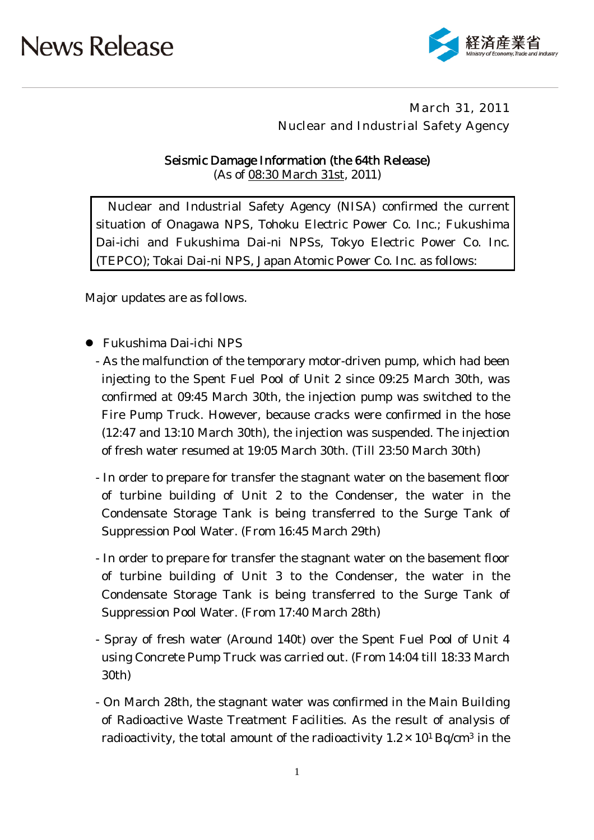

### March 31, 2011 Nuclear and Industrial Safety Agency

Seismic Damage Information (the 64th Release) (As of 08:30 March 31st, 2011)

Nuclear and Industrial Safety Agency (NISA) confirmed the current situation of Onagawa NPS, Tohoku Electric Power Co. Inc.; Fukushima Dai-ichi and Fukushima Dai-ni NPSs, Tokyo Electric Power Co. Inc. (TEPCO); Tokai Dai-ni NPS, Japan Atomic Power Co. Inc. as follows:

Major updates are as follows.

- Fukushima Dai-ichi NPS
	- As the malfunction of the temporary motor-driven pump, which had been injecting to the Spent Fuel Pool of Unit 2 since 09:25 March 30th, was confirmed at 09:45 March 30th, the injection pump was switched to the Fire Pump Truck. However, because cracks were confirmed in the hose (12:47 and 13:10 March 30th), the injection was suspended. The injection of fresh water resumed at 19:05 March 30th. (Till 23:50 March 30th)
	- In order to prepare for transfer the stagnant water on the basement floor of turbine building of Unit 2 to the Condenser, the water in the Condensate Storage Tank is being transferred to the Surge Tank of Suppression Pool Water. (From 16:45 March 29th)
	- In order to prepare for transfer the stagnant water on the basement floor of turbine building of Unit 3 to the Condenser, the water in the Condensate Storage Tank is being transferred to the Surge Tank of Suppression Pool Water. (From 17:40 March 28th)
	- Spray of fresh water (Around 140t) over the Spent Fuel Pool of Unit 4 using Concrete Pump Truck was carried out. (From 14:04 till 18:33 March 30th)
	- On March 28th, the stagnant water was confirmed in the Main Building of Radioactive Waste Treatment Facilities. As the result of analysis of radioactivity, the total amount of the radioactivity  $1.2 \times 10^{1}$  Bq/cm<sup>3</sup> in the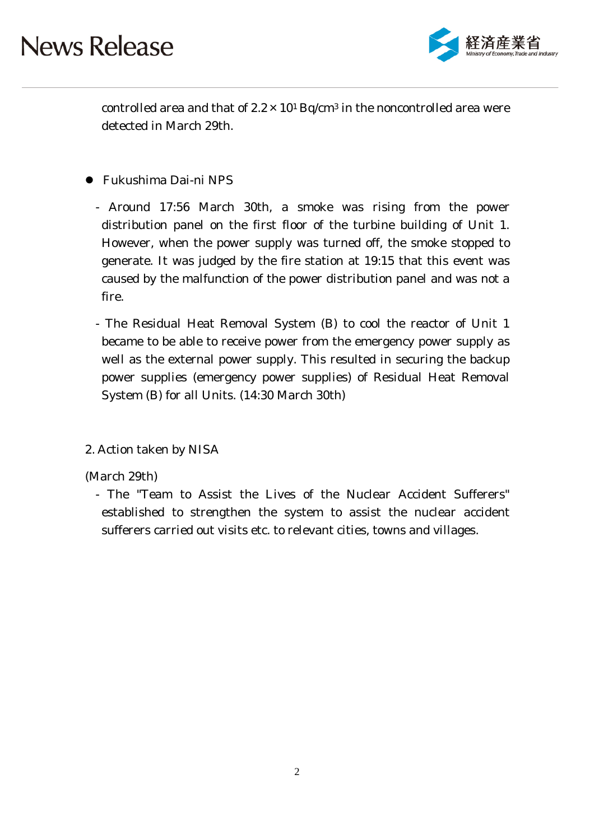

controlled area and that of  $2.2 \times 10^{1}$  Bq/cm<sup>3</sup> in the noncontrolled area were detected in March 29th.

- Fukushima Dai-ni NPS
	- Around 17:56 March 30th, a smoke was rising from the power distribution panel on the first floor of the turbine building of Unit 1. However, when the power supply was turned off, the smoke stopped to generate. It was judged by the fire station at 19:15 that this event was caused by the malfunction of the power distribution panel and was not a fire.
	- The Residual Heat Removal System (B) to cool the reactor of Unit 1 became to be able to receive power from the emergency power supply as well as the external power supply. This resulted in securing the backup power supplies (emergency power supplies) of Residual Heat Removal System (B) for all Units. (14:30 March 30th)
- 2. Action taken by NISA

(March 29th)

- The "Team to Assist the Lives of the Nuclear Accident Sufferers" established to strengthen the system to assist the nuclear accident sufferers carried out visits etc. to relevant cities, towns and villages.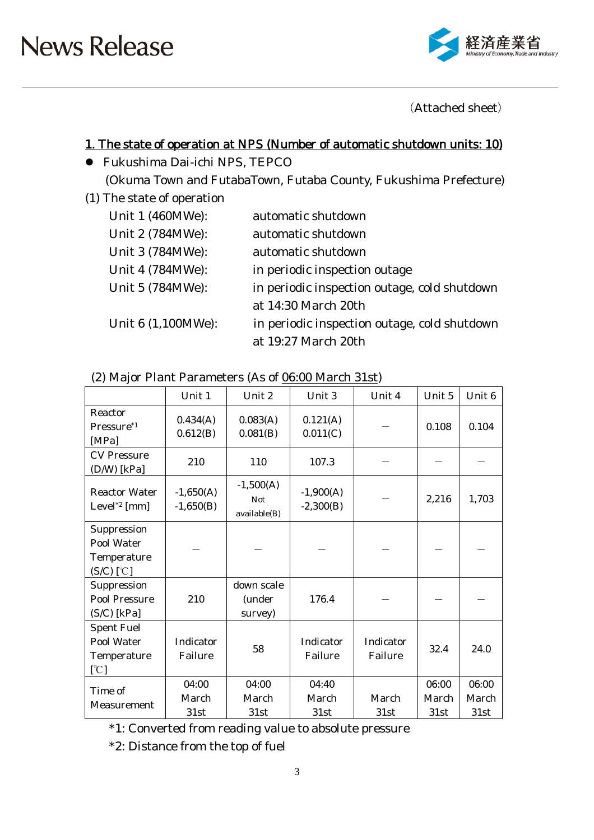

(Attached sheet)

### 1. The state of operation at NPS (Number of automatic shutdown units: 10)

- Fukushima Dai-ichi NPS, TEPCO (Okuma Town and FutabaTown, Futaba County, Fukushima Prefecture)
- (1) The state of operation

| Unit 1 (460MWe):   | automatic shutdown                           |
|--------------------|----------------------------------------------|
| Unit 2 (784MWe):   | automatic shutdown                           |
| Unit 3 (784MWe):   | automatic shutdown                           |
| Unit 4 (784MWe):   | in periodic inspection outage                |
| Unit 5 (784MWe):   | in periodic inspection outage, cold shutdown |
|                    | at 14:30 March 20th                          |
| Unit 6 (1,100MWe): | in periodic inspection outage, cold shutdown |
|                    | at 19:27 March 20th                          |

(2) Major Plant Parameters (As of 06:00 March 31st)

|                                                          | Unit 1                     | Unit 2                                    | Unit 3                     | Unit 4               | Unit 5                 | Unit 6                 |
|----------------------------------------------------------|----------------------------|-------------------------------------------|----------------------------|----------------------|------------------------|------------------------|
| Reactor<br>Pressure <sup>*1</sup><br>[MPa]               | 0.434(A)<br>0.612(B)       | 0.083(A)<br>0.081(B)                      | 0.121(A)<br>0.011(C)       |                      | 0.108                  | 0.104                  |
| <b>CV</b> Pressure<br>$(D/W)$ [kPa]                      | 210                        | 110                                       | 107.3                      |                      |                        |                        |
| <b>Reactor Water</b><br>Level <sup>*2</sup> [mm]         | $-1,650(A)$<br>$-1,650(B)$ | $-1,500(A)$<br><b>Not</b><br>available(B) | $-1,900(A)$<br>$-2,300(B)$ |                      | 2,216                  | 1,703                  |
| Suppression<br>Pool Water<br>Temperature<br>$(S/C)$ [°C] |                            |                                           |                            |                      |                        |                        |
| Suppression<br><b>Pool Pressure</b><br>$(S/C)$ [kPa]     | 210                        | down scale<br>(under<br>survey)           | 176.4                      |                      |                        |                        |
| <b>Spent Fuel</b><br>Pool Water<br>Temperature<br>[°C]   | Indicator<br>Failure       | 58                                        | Indicator<br>Failure       | Indicator<br>Failure | 32.4                   | 24.0                   |
| Time of<br>Measurement                                   | 04:00<br>March<br>31st     | 04:00<br>March<br>31st                    | 04:40<br>March<br>31st     | March<br>31st        | 06:00<br>March<br>31st | 06:00<br>March<br>31st |

\*1: Converted from reading value to absolute pressure

\*2: Distance from the top of fuel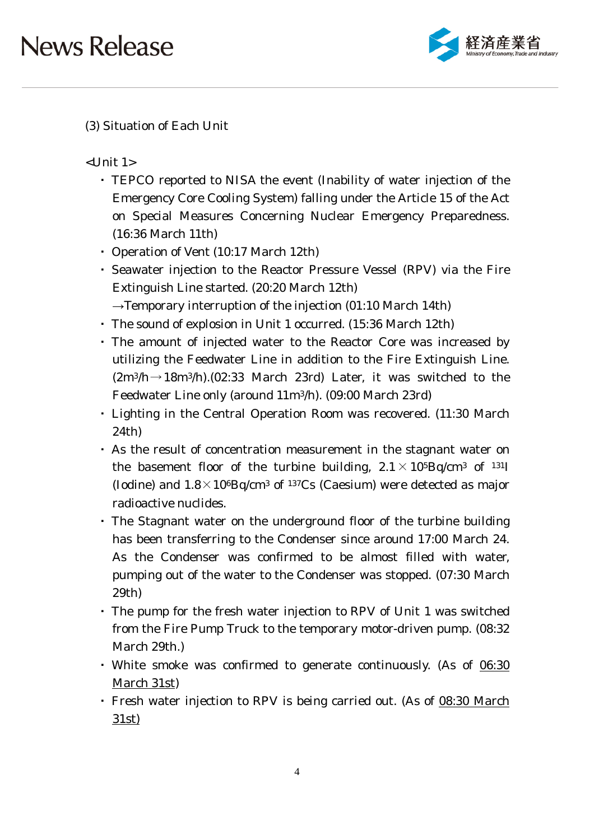

### (3) Situation of Each Unit

 $<$ Unit 1 $>$ 

- ・ TEPCO reported to NISA the event (Inability of water injection of the Emergency Core Cooling System) falling under the Article 15 of the Act on Special Measures Concerning Nuclear Emergency Preparedness. (16:36 March 11th)
- ・ Operation of Vent (10:17 March 12th)
- ・ Seawater injection to the Reactor Pressure Vessel (RPV) via the Fire Extinguish Line started. (20:20 March 12th)
- $\rightarrow$ Temporary interruption of the injection (01:10 March 14th) ・ The sound of explosion in Unit 1 occurred. (15:36 March 12th)
- ・ The amount of injected water to the Reactor Core was increased by utilizing the Feedwater Line in addition to the Fire Extinguish Line.  $(2m^3/h \rightarrow 18m^3/h)$ . (02:33 March 23rd) Later, it was switched to the Feedwater Line only (around 11m3/h). (09:00 March 23rd)
- ・ Lighting in the Central Operation Room was recovered. (11:30 March 24th)
- ・ As the result of concentration measurement in the stagnant water on the basement floor of the turbine building,  $2.1 \times 10^{5}$ Bq/cm<sup>3</sup> of <sup>131</sup>I (Iodine) and  $1.8 \times 10^{6}$ Bq/cm<sup>3</sup> of <sup>137</sup>Cs (Caesium) were detected as major radioactive nuclides.
- ・ The Stagnant water on the underground floor of the turbine building has been transferring to the Condenser since around 17:00 March 24. As the Condenser was confirmed to be almost filled with water, pumping out of the water to the Condenser was stopped. (07:30 March 29th)
- ・ The pump for the fresh water injection to RPV of Unit 1 was switched from the Fire Pump Truck to the temporary motor-driven pump. (08:32 March 29th.)
- White smoke was confirmed to generate continuously. (As of 06:30 March 31st)
- Fresh water injection to RPV is being carried out. (As of 08:30 March 31st)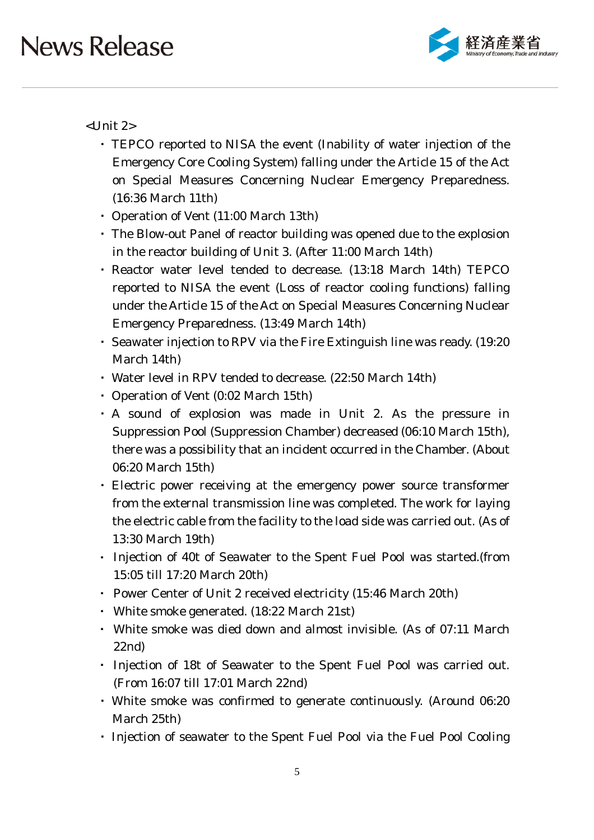

<Unit 2>

- ・ TEPCO reported to NISA the event (Inability of water injection of the Emergency Core Cooling System) falling under the Article 15 of the Act on Special Measures Concerning Nuclear Emergency Preparedness. (16:36 March 11th)
- ・ Operation of Vent (11:00 March 13th)
- ・ The Blow-out Panel of reactor building was opened due to the explosion in the reactor building of Unit 3. (After 11:00 March 14th)
- ・ Reactor water level tended to decrease. (13:18 March 14th) TEPCO reported to NISA the event (Loss of reactor cooling functions) falling under the Article 15 of the Act on Special Measures Concerning Nuclear Emergency Preparedness. (13:49 March 14th)
- ・ Seawater injection to RPV via the Fire Extinguish line was ready. (19:20 March 14th)
- ・ Water level in RPV tended to decrease. (22:50 March 14th)
- ・ Operation of Vent (0:02 March 15th)
- ・ A sound of explosion was made in Unit 2. As the pressure in Suppression Pool (Suppression Chamber) decreased (06:10 March 15th), there was a possibility that an incident occurred in the Chamber. (About 06:20 March 15th)
- ・ Electric power receiving at the emergency power source transformer from the external transmission line was completed. The work for laying the electric cable from the facility to the load side was carried out. (As of 13:30 March 19th)
- ・ Injection of 40t of Seawater to the Spent Fuel Pool was started.(from 15:05 till 17:20 March 20th)
- ・ Power Center of Unit 2 received electricity (15:46 March 20th)
- ・ White smoke generated. (18:22 March 21st)
- ・ White smoke was died down and almost invisible. (As of 07:11 March 22nd)
- ・ Injection of 18t of Seawater to the Spent Fuel Pool was carried out. (From 16:07 till 17:01 March 22nd)
- ・ White smoke was confirmed to generate continuously. (Around 06:20 March 25th)
- ・ Injection of seawater to the Spent Fuel Pool via the Fuel Pool Cooling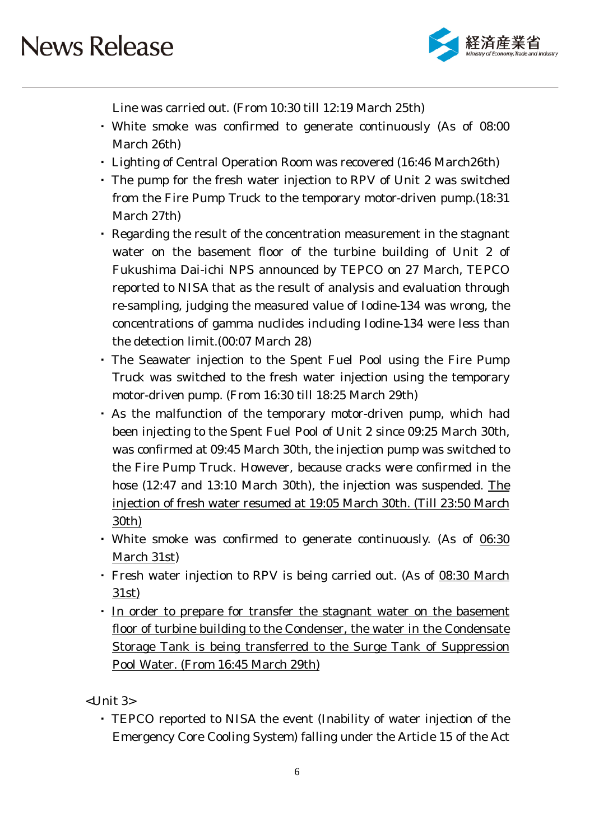

Line was carried out. (From 10:30 till 12:19 March 25th)

- ・ White smoke was confirmed to generate continuously (As of 08:00 March 26th)
- ・ Lighting of Central Operation Room was recovered (16:46 March26th)
- ・ The pump for the fresh water injection to RPV of Unit 2 was switched from the Fire Pump Truck to the temporary motor-driven pump.(18:31 March 27th)
- ・ Regarding the result of the concentration measurement in the stagnant water on the basement floor of the turbine building of Unit 2 of Fukushima Dai-ichi NPS announced by TEPCO on 27 March, TEPCO reported to NISA that as the result of analysis and evaluation through re-sampling, judging the measured value of Iodine-134 was wrong, the concentrations of gamma nuclides including Iodine-134 were less than the detection limit.(00:07 March 28)
- ・ The Seawater injection to the Spent Fuel Pool using the Fire Pump Truck was switched to the fresh water injection using the temporary motor-driven pump. (From 16:30 till 18:25 March 29th)
- ・ As the malfunction of the temporary motor-driven pump, which had been injecting to the Spent Fuel Pool of Unit 2 since 09:25 March 30th, was confirmed at 09:45 March 30th, the injection pump was switched to the Fire Pump Truck. However, because cracks were confirmed in the hose (12:47 and 13:10 March 30th), the injection was suspended. The injection of fresh water resumed at 19:05 March 30th. (Till 23:50 March 30th)
- White smoke was confirmed to generate continuously. (As of 06:30 March 31st)
- ・ Fresh water injection to RPV is being carried out. (As of 08:30 March 31st)
- ・ In order to prepare for transfer the stagnant water on the basement floor of turbine building to the Condenser, the water in the Condensate Storage Tank is being transferred to the Surge Tank of Suppression Pool Water. (From 16:45 March 29th)

<Unit 3>

・ TEPCO reported to NISA the event (Inability of water injection of the Emergency Core Cooling System) falling under the Article 15 of the Act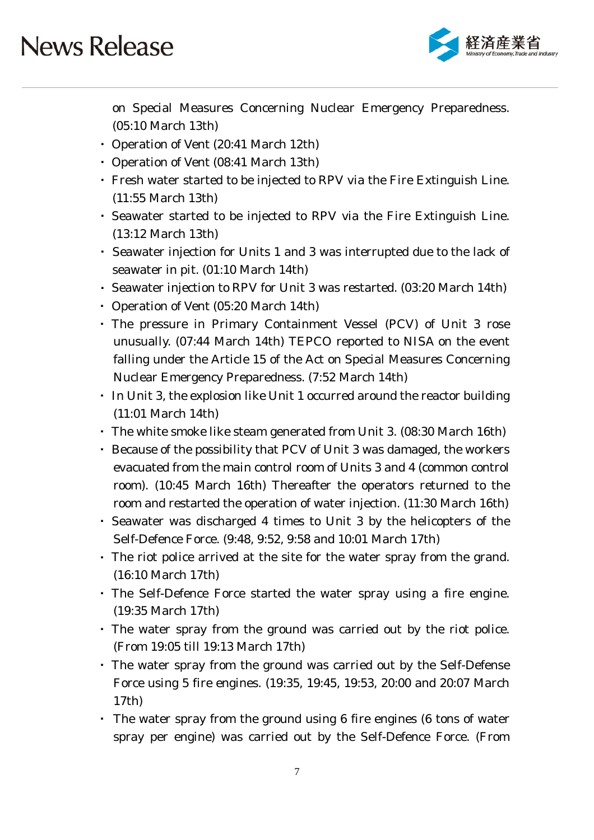

on Special Measures Concerning Nuclear Emergency Preparedness. (05:10 March 13th)

- ・ Operation of Vent (20:41 March 12th)
- ・ Operation of Vent (08:41 March 13th)
- ・ Fresh water started to be injected to RPV via the Fire Extinguish Line. (11:55 March 13th)
- ・ Seawater started to be injected to RPV via the Fire Extinguish Line. (13:12 March 13th)
- ・ Seawater injection for Units 1 and 3 was interrupted due to the lack of seawater in pit. (01:10 March 14th)
- ・ Seawater injection to RPV for Unit 3 was restarted. (03:20 March 14th)
- ・ Operation of Vent (05:20 March 14th)
- ・ The pressure in Primary Containment Vessel (PCV) of Unit 3 rose unusually. (07:44 March 14th) TEPCO reported to NISA on the event falling under the Article 15 of the Act on Special Measures Concerning Nuclear Emergency Preparedness. (7:52 March 14th)
- In Unit 3, the explosion like Unit 1 occurred around the reactor building (11:01 March 14th)
- ・ The white smoke like steam generated from Unit 3. (08:30 March 16th)
- ・ Because of the possibility that PCV of Unit 3 was damaged, the workers evacuated from the main control room of Units 3 and 4 (common control room). (10:45 March 16th) Thereafter the operators returned to the room and restarted the operation of water injection. (11:30 March 16th)
- ・ Seawater was discharged 4 times to Unit 3 by the helicopters of the Self-Defence Force. (9:48, 9:52, 9:58 and 10:01 March 17th)
- ・ The riot police arrived at the site for the water spray from the grand. (16:10 March 17th)
- ・ The Self-Defence Force started the water spray using a fire engine. (19:35 March 17th)
- ・ The water spray from the ground was carried out by the riot police. (From 19:05 till 19:13 March 17th)
- ・ The water spray from the ground was carried out by the Self-Defense Force using 5 fire engines. (19:35, 19:45, 19:53, 20:00 and 20:07 March 17th)
- ・ The water spray from the ground using 6 fire engines (6 tons of water spray per engine) was carried out by the Self-Defence Force. (From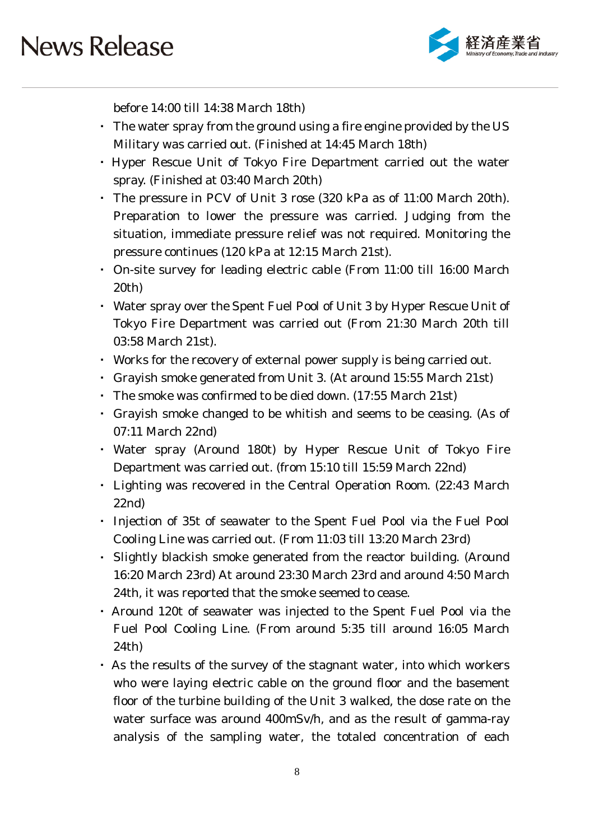

before 14:00 till 14:38 March 18th)

- ・ The water spray from the ground using a fire engine provided by the US Military was carried out. (Finished at 14:45 March 18th)
- ・ Hyper Rescue Unit of Tokyo Fire Department carried out the water spray. (Finished at 03:40 March 20th)
- ・ The pressure in PCV of Unit 3 rose (320 kPa as of 11:00 March 20th). Preparation to lower the pressure was carried. Judging from the situation, immediate pressure relief was not required. Monitoring the pressure continues (120 kPa at 12:15 March 21st).
- ・ On-site survey for leading electric cable (From 11:00 till 16:00 March 20th)
- ・ Water spray over the Spent Fuel Pool of Unit 3 by Hyper Rescue Unit of Tokyo Fire Department was carried out (From 21:30 March 20th till 03:58 March 21st).
- ・ Works for the recovery of external power supply is being carried out.
- ・ Grayish smoke generated from Unit 3. (At around 15:55 March 21st)
- The smoke was confirmed to be died down. (17:55 March 21st)
- ・ Grayish smoke changed to be whitish and seems to be ceasing. (As of 07:11 March 22nd)
- ・ Water spray (Around 180t) by Hyper Rescue Unit of Tokyo Fire Department was carried out. (from 15:10 till 15:59 March 22nd)
- ・ Lighting was recovered in the Central Operation Room. (22:43 March 22nd)
- ・ Injection of 35t of seawater to the Spent Fuel Pool via the Fuel Pool Cooling Line was carried out. (From 11:03 till 13:20 March 23rd)
- Slightly blackish smoke generated from the reactor building. (Around 16:20 March 23rd) At around 23:30 March 23rd and around 4:50 March 24th, it was reported that the smoke seemed to cease.
- ・ Around 120t of seawater was injected to the Spent Fuel Pool via the Fuel Pool Cooling Line. (From around 5:35 till around 16:05 March 24th)
- ・ As the results of the survey of the stagnant water, into which workers who were laying electric cable on the ground floor and the basement floor of the turbine building of the Unit 3 walked, the dose rate on the water surface was around 400mSv/h, and as the result of gamma-ray analysis of the sampling water, the totaled concentration of each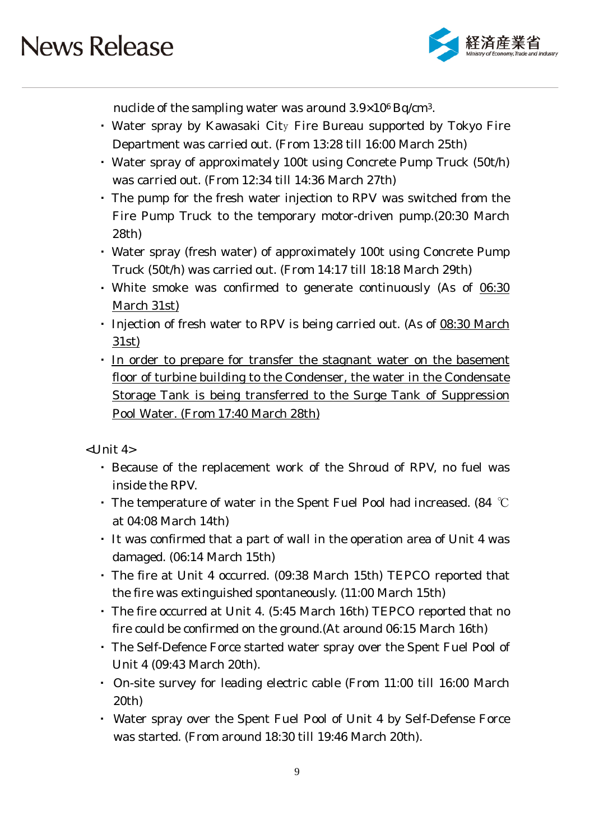

nuclide of the sampling water was around 3.9×106 Bq/cm3.

- ・ Water spray by Kawasaki City Fire Bureau supported by Tokyo Fire Department was carried out. (From 13:28 till 16:00 March 25th)
- ・ Water spray of approximately 100t using Concrete Pump Truck (50t/h) was carried out. (From 12:34 till 14:36 March 27th)
- ・ The pump for the fresh water injection to RPV was switched from the Fire Pump Truck to the temporary motor-driven pump.(20:30 March 28th)
- ・ Water spray (fresh water) of approximately 100t using Concrete Pump Truck (50t/h) was carried out. (From 14:17 till 18:18 March 29th)
- ・ White smoke was confirmed to generate continuously (As of 06:30 March 31st)
- Injection of fresh water to RPV is being carried out. (As of 08:30 March 31st)
- ・ In order to prepare for transfer the stagnant water on the basement floor of turbine building to the Condenser, the water in the Condensate Storage Tank is being transferred to the Surge Tank of Suppression Pool Water. (From 17:40 March 28th)

<Unit 4>

- ・ Because of the replacement work of the Shroud of RPV, no fuel was inside the RPV.
- The temperature of water in the Spent Fuel Pool had increased. (84  $^{\circ}\text{C}$ at 04:08 March 14th)
- ・ It was confirmed that a part of wall in the operation area of Unit 4 was damaged. (06:14 March 15th)
- ・ The fire at Unit 4 occurred. (09:38 March 15th) TEPCO reported that the fire was extinguished spontaneously. (11:00 March 15th)
- ・ The fire occurred at Unit 4. (5:45 March 16th) TEPCO reported that no fire could be confirmed on the ground.(At around 06:15 March 16th)
- ・ The Self-Defence Force started water spray over the Spent Fuel Pool of Unit 4 (09:43 March 20th).
- ・ On-site survey for leading electric cable (From 11:00 till 16:00 March 20th)
- ・ Water spray over the Spent Fuel Pool of Unit 4 by Self-Defense Force was started. (From around 18:30 till 19:46 March 20th).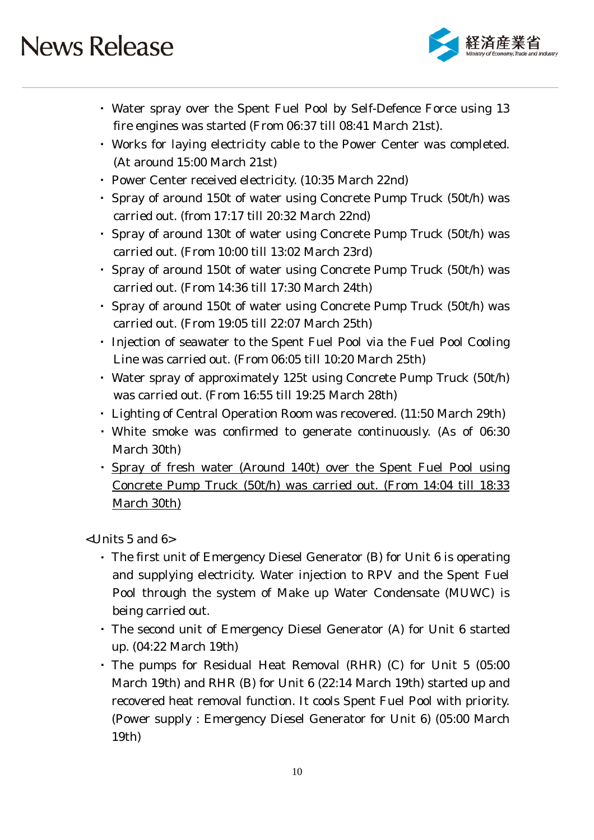

- ・ Water spray over the Spent Fuel Pool by Self-Defence Force using 13 fire engines was started (From 06:37 till 08:41 March 21st).
- ・ Works for laying electricity cable to the Power Center was completed. (At around 15:00 March 21st)
- ・ Power Center received electricity. (10:35 March 22nd)
- ・ Spray of around 150t of water using Concrete Pump Truck (50t/h) was carried out. (from 17:17 till 20:32 March 22nd)
- ・ Spray of around 130t of water using Concrete Pump Truck (50t/h) was carried out. (From 10:00 till 13:02 March 23rd)
- ・ Spray of around 150t of water using Concrete Pump Truck (50t/h) was carried out. (From 14:36 till 17:30 March 24th)
- ・ Spray of around 150t of water using Concrete Pump Truck (50t/h) was carried out. (From 19:05 till 22:07 March 25th)
- ・ Injection of seawater to the Spent Fuel Pool via the Fuel Pool Cooling Line was carried out. (From 06:05 till 10:20 March 25th)
- ・ Water spray of approximately 125t using Concrete Pump Truck (50t/h) was carried out. (From 16:55 till 19:25 March 28th)
- ・ Lighting of Central Operation Room was recovered. (11:50 March 29th)
- ・ White smoke was confirmed to generate continuously. (As of 06:30 March 30th)
- ・ Spray of fresh water (Around 140t) over the Spent Fuel Pool using Concrete Pump Truck (50t/h) was carried out. (From 14:04 till 18:33 March 30th)

<Units 5 and 6>

- ・ The first unit of Emergency Diesel Generator (B) for Unit 6 is operating and supplying electricity. Water injection to RPV and the Spent Fuel Pool through the system of Make up Water Condensate (MUWC) is being carried out.
- ・ The second unit of Emergency Diesel Generator (A) for Unit 6 started up. (04:22 March 19th)
- ・ The pumps for Residual Heat Removal (RHR) (C) for Unit 5 (05:00 March 19th) and RHR (B) for Unit 6 (22:14 March 19th) started up and recovered heat removal function. It cools Spent Fuel Pool with priority. (Power supply : Emergency Diesel Generator for Unit 6) (05:00 March 19th)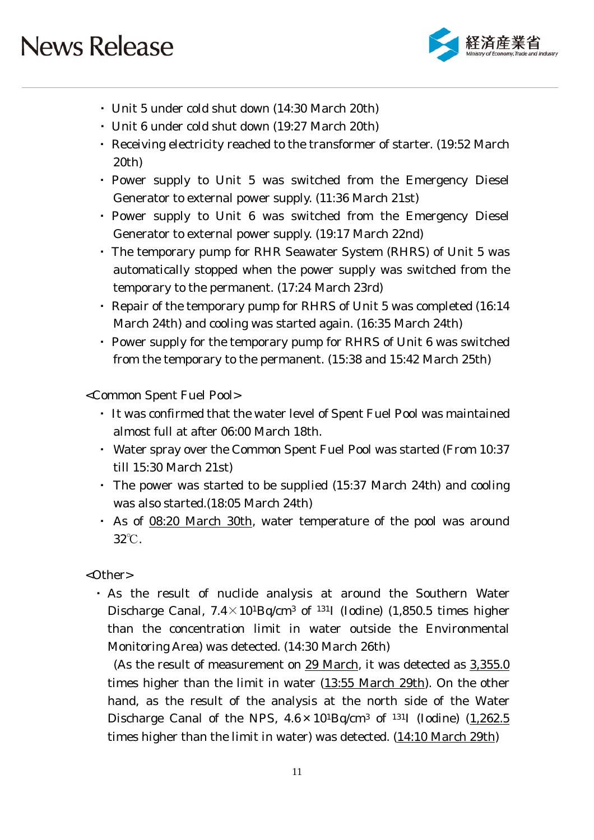

- ・ Unit 5 under cold shut down (14:30 March 20th)
- ・ Unit 6 under cold shut down (19:27 March 20th)
- ・ Receiving electricity reached to the transformer of starter. (19:52 March 20th)
- ・ Power supply to Unit 5 was switched from the Emergency Diesel Generator to external power supply. (11:36 March 21st)
- ・ Power supply to Unit 6 was switched from the Emergency Diesel Generator to external power supply. (19:17 March 22nd)
- ・ The temporary pump for RHR Seawater System (RHRS) of Unit 5 was automatically stopped when the power supply was switched from the temporary to the permanent. (17:24 March 23rd)
- ・ Repair of the temporary pump for RHRS of Unit 5 was completed (16:14 March 24th) and cooling was started again. (16:35 March 24th)
- ・ Power supply for the temporary pump for RHRS of Unit 6 was switched from the temporary to the permanent. (15:38 and 15:42 March 25th)

<Common Spent Fuel Pool>

- ・ It was confirmed that the water level of Spent Fuel Pool was maintained almost full at after 06:00 March 18th.
- ・ Water spray over the Common Spent Fuel Pool was started (From 10:37 till 15:30 March 21st)
- ・ The power was started to be supplied (15:37 March 24th) and cooling was also started.(18:05 March 24th)
- ・ As of 08:20 March 30th, water temperature of the pool was around 32℃.

<Other>

・ As the result of nuclide analysis at around the Southern Water Discharge Canal,  $7.4 \times 10^{1}$ Bq/cm<sup>3</sup> of <sup>131</sup>I (Iodine) (1,850.5 times higher than the concentration limit in water outside the Environmental Monitoring Area) was detected. (14:30 March 26th)

(As the result of measurement on 29 March, it was detected as 3,355.0 times higher than the limit in water (13:55 March 29th). On the other hand, as the result of the analysis at the north side of the Water Discharge Canal of the NPS,  $4.6 \times 10^{1}$ Bq/cm<sup>3</sup> of <sup>131</sup>I (Iodine) (1,262.5) times higher than the limit in water) was detected. (14:10 March 29th)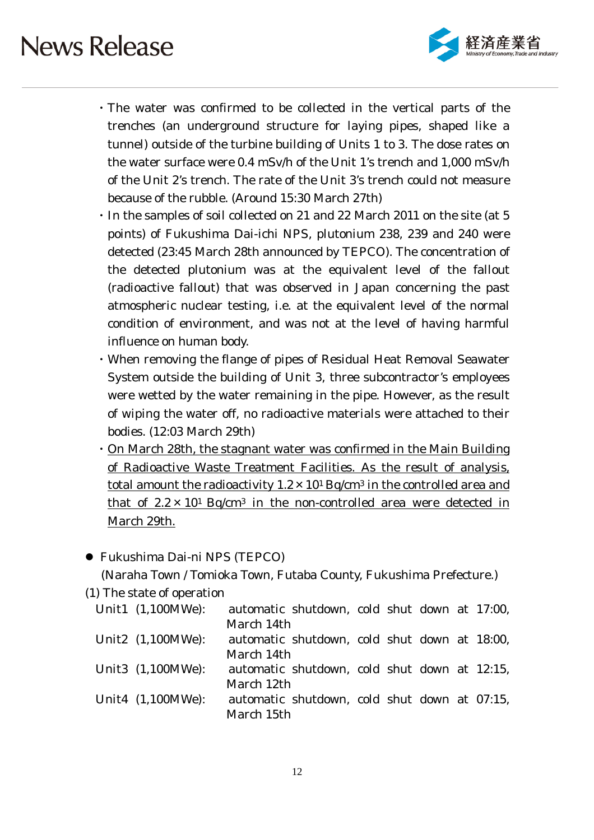

- ・The water was confirmed to be collected in the vertical parts of the trenches (an underground structure for laying pipes, shaped like a tunnel) outside of the turbine building of Units 1 to 3. The dose rates on the water surface were 0.4 mSv/h of the Unit 1's trench and 1,000 mSv/h of the Unit 2's trench. The rate of the Unit 3's trench could not measure because of the rubble. (Around 15:30 March 27th)
- ・In the samples of soil collected on 21 and 22 March 2011 on the site (at 5 points) of Fukushima Dai-ichi NPS, plutonium 238, 239 and 240 were detected (23:45 March 28th announced by TEPCO). The concentration of the detected plutonium was at the equivalent level of the fallout (radioactive fallout) that was observed in Japan concerning the past atmospheric nuclear testing, i.e. at the equivalent level of the normal condition of environment, and was not at the level of having harmful influence on human body.
- ・When removing the flange of pipes of Residual Heat Removal Seawater System outside the building of Unit 3, three subcontractor's employees were wetted by the water remaining in the pipe. However, as the result of wiping the water off, no radioactive materials were attached to their bodies. (12:03 March 29th)
- ・On March 28th, the stagnant water was confirmed in the Main Building of Radioactive Waste Treatment Facilities. As the result of analysis, total amount the radioactivity  $1.2 \times 10^{1}$  Bq/cm<sup>3</sup> in the controlled area and that of  $2.2 \times 10^1$  Bq/cm<sup>3</sup> in the non-controlled area were detected in March 29th.

### Fukushima Dai-ni NPS (TEPCO)

(Naraha Town / Tomioka Town, Futaba County, Fukushima Prefecture.)

(1) The state of operation

| Unit1 (1,100MWe):    | automatic shutdown, cold shut down at 17:00, |  |  |  |
|----------------------|----------------------------------------------|--|--|--|
|                      | March 14th                                   |  |  |  |
| Unit2 $(1,100MWe)$ : | automatic shutdown, cold shut down at 18:00, |  |  |  |
|                      | March 14th                                   |  |  |  |
| Unit3 (1,100MWe):    | automatic shutdown, cold shut down at 12:15, |  |  |  |
|                      | March 12th                                   |  |  |  |
| Unit4 (1,100MWe):    | automatic shutdown, cold shut down at 07:15, |  |  |  |
|                      | March 15th                                   |  |  |  |
|                      |                                              |  |  |  |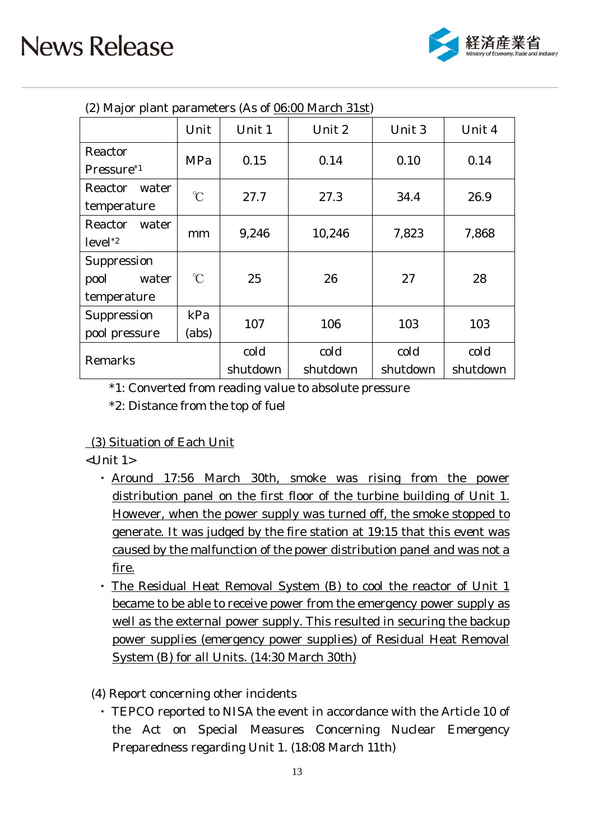

| (2) Major plant parameters (As of 06:00 March 31st) |              |          |          |          |          |  |
|-----------------------------------------------------|--------------|----------|----------|----------|----------|--|
|                                                     | Unit         | Unit 1   | Unit 2   | Unit 3   | Unit 4   |  |
| Reactor                                             | MPa          | 0.15     | 0.14     | 0.10     | 0.14     |  |
| Pressure <sup>*1</sup>                              |              |          |          |          |          |  |
| Reactor<br>water                                    | $\mathrm{C}$ | 27.7     | 27.3     | 34.4     | 26.9     |  |
| temperature                                         |              |          |          |          |          |  |
| Reactor<br>water                                    |              |          |          |          |          |  |
| $level^*2$                                          | mm           | 9,246    | 10,246   | 7,823    | 7,868    |  |
| Suppression                                         |              |          |          |          |          |  |
| pool<br>water                                       | $\mathrm{C}$ | 25       | 26       | 27       | 28       |  |
| temperature                                         |              |          |          |          |          |  |
| Suppression                                         | kPa          |          | 106      |          |          |  |
| (abs)<br>pool pressure                              |              | 107      |          | 103      | 103      |  |
| Remarks                                             |              | cold     | cold     | cold     | cold     |  |
|                                                     |              | shutdown | shutdown | shutdown | shutdown |  |

 $(2)$  Major plant parameters  $(A \circ f)$  06:00 March  $21st$ )

\*1: Converted from reading value to absolute pressure

\*2: Distance from the top of fuel

### (3) Situation of Each Unit

<Unit 1>

- ・ Around 17:56 March 30th, smoke was rising from the power distribution panel on the first floor of the turbine building of Unit 1. However, when the power supply was turned off, the smoke stopped to generate. It was judged by the fire station at 19:15 that this event was caused by the malfunction of the power distribution panel and was not a fire.
- ・ The Residual Heat Removal System (B) to cool the reactor of Unit 1 became to be able to receive power from the emergency power supply as well as the external power supply. This resulted in securing the backup power supplies (emergency power supplies) of Residual Heat Removal System (B) for all Units. (14:30 March 30th)
- (4) Report concerning other incidents
	- ・ TEPCO reported to NISA the event in accordance with the Article 10 of the Act on Special Measures Concerning Nuclear Emergency Preparedness regarding Unit 1. (18:08 March 11th)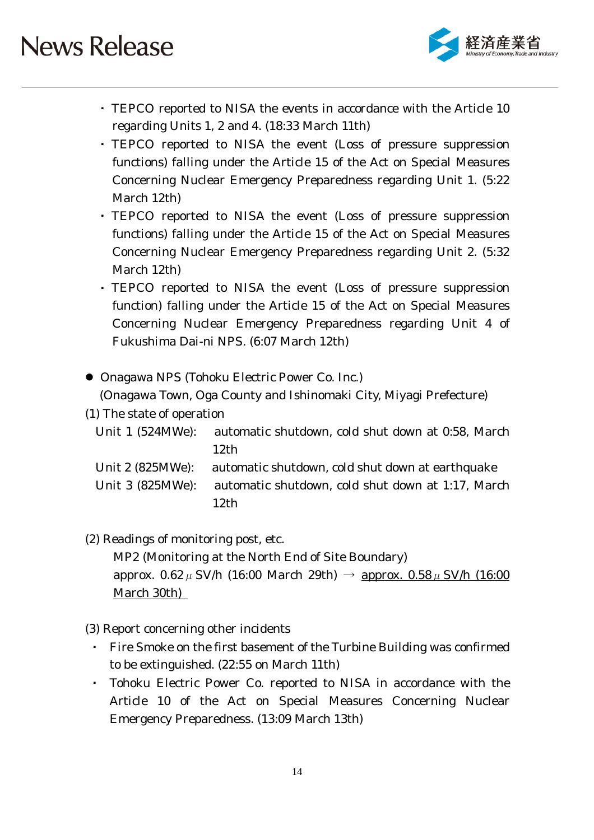

- ・ TEPCO reported to NISA the events in accordance with the Article 10 regarding Units 1, 2 and 4. (18:33 March 11th)
- ・ TEPCO reported to NISA the event (Loss of pressure suppression functions) falling under the Article 15 of the Act on Special Measures Concerning Nuclear Emergency Preparedness regarding Unit 1. (5:22 March 12th)
- ・ TEPCO reported to NISA the event (Loss of pressure suppression functions) falling under the Article 15 of the Act on Special Measures Concerning Nuclear Emergency Preparedness regarding Unit 2. (5:32 March 12th)
- ・ TEPCO reported to NISA the event (Loss of pressure suppression function) falling under the Article 15 of the Act on Special Measures Concerning Nuclear Emergency Preparedness regarding Unit 4 of Fukushima Dai-ni NPS. (6:07 March 12th)
- Onagawa NPS (Tohoku Electric Power Co. Inc.)

(Onagawa Town, Oga County and Ishinomaki City, Miyagi Prefecture)

(1) The state of operation

```
Unit 1 (524MWe): automatic shutdown, cold shut down at 0:58, March 
       12th
```
- Unit 2 (825MWe): automatic shutdown, cold shut down at earthquake Unit 3 (825MWe): automatic shutdown, cold shut down at 1:17, March 12th
- (2) Readings of monitoring post, etc. MP2 (Monitoring at the North End of Site Boundary) approx. 0.62  $\mu$  SV/h (16:00 March 29th)  $\rightarrow$  approx. 0.58  $\mu$  SV/h (16:00 March 30th)
- (3) Report concerning other incidents
	- Fire Smoke on the first basement of the Turbine Building was confirmed to be extinguished. (22:55 on March 11th)
	- Tohoku Electric Power Co. reported to NISA in accordance with the Article 10 of the Act on Special Measures Concerning Nuclear Emergency Preparedness. (13:09 March 13th)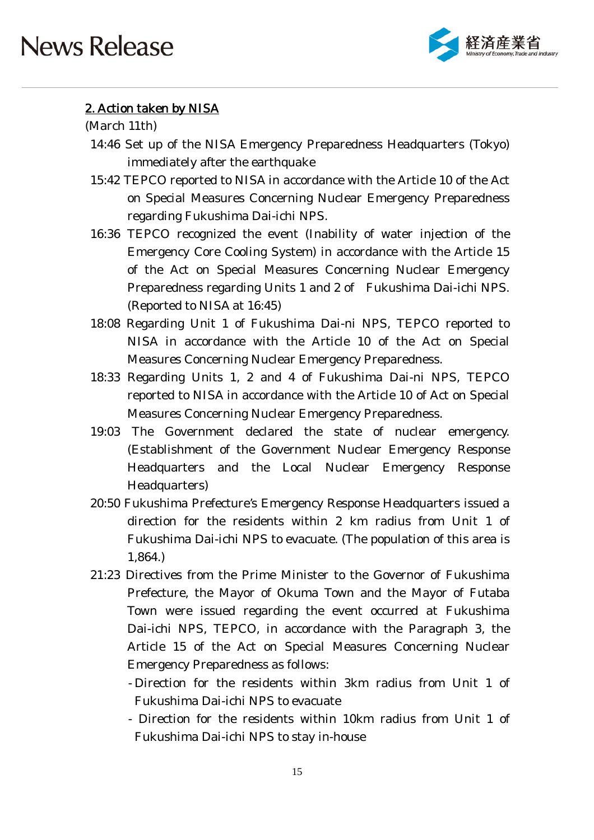

### 2. Action taken by NISA

(March 11th)

- 14:46 Set up of the NISA Emergency Preparedness Headquarters (Tokyo) immediately after the earthquake
- 15:42 TEPCO reported to NISA in accordance with the Article 10 of the Act on Special Measures Concerning Nuclear Emergency Preparedness regarding Fukushima Dai-ichi NPS.
- 16:36 TEPCO recognized the event (Inability of water injection of the Emergency Core Cooling System) in accordance with the Article 15 of the Act on Special Measures Concerning Nuclear Emergency Preparedness regarding Units 1 and 2 of Fukushima Dai-ichi NPS. (Reported to NISA at 16:45)
- 18:08 Regarding Unit 1 of Fukushima Dai-ni NPS, TEPCO reported to NISA in accordance with the Article 10 of the Act on Special Measures Concerning Nuclear Emergency Preparedness.
- 18:33 Regarding Units 1, 2 and 4 of Fukushima Dai-ni NPS, TEPCO reported to NISA in accordance with the Article 10 of Act on Special Measures Concerning Nuclear Emergency Preparedness.
- 19:03 The Government declared the state of nuclear emergency. (Establishment of the Government Nuclear Emergency Response Headquarters and the Local Nuclear Emergency Response Headquarters)
- 20:50 Fukushima Prefecture's Emergency Response Headquarters issued a direction for the residents within 2 km radius from Unit 1 of Fukushima Dai-ichi NPS to evacuate. (The population of this area is 1,864.)
- 21:23 Directives from the Prime Minister to the Governor of Fukushima Prefecture, the Mayor of Okuma Town and the Mayor of Futaba Town were issued regarding the event occurred at Fukushima Dai-ichi NPS, TEPCO, in accordance with the Paragraph 3, the Article 15 of the Act on Special Measures Concerning Nuclear Emergency Preparedness as follows:
	- Direction for the residents within 3km radius from Unit 1 of Fukushima Dai-ichi NPS to evacuate
	- Direction for the residents within 10km radius from Unit 1 of Fukushima Dai-ichi NPS to stay in-house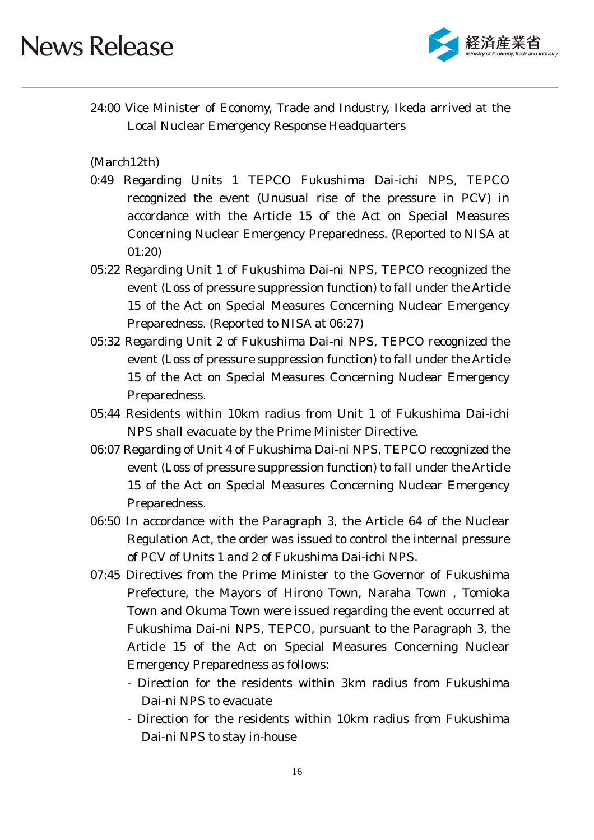

24:00 Vice Minister of Economy, Trade and Industry, Ikeda arrived at the Local Nuclear Emergency Response Headquarters

(March12th)

- 0:49 Regarding Units 1 TEPCO Fukushima Dai-ichi NPS, TEPCO recognized the event (Unusual rise of the pressure in PCV) in accordance with the Article 15 of the Act on Special Measures Concerning Nuclear Emergency Preparedness. (Reported to NISA at 01:20)
- 05:22 Regarding Unit 1 of Fukushima Dai-ni NPS, TEPCO recognized the event (Loss of pressure suppression function) to fall under the Article 15 of the Act on Special Measures Concerning Nuclear Emergency Preparedness. (Reported to NISA at 06:27)
- 05:32 Regarding Unit 2 of Fukushima Dai-ni NPS, TEPCO recognized the event (Loss of pressure suppression function) to fall under the Article 15 of the Act on Special Measures Concerning Nuclear Emergency Preparedness.
- 05:44 Residents within 10km radius from Unit 1 of Fukushima Dai-ichi NPS shall evacuate by the Prime Minister Directive.
- 06:07 Regarding of Unit 4 of Fukushima Dai-ni NPS, TEPCO recognized the event (Loss of pressure suppression function) to fall under the Article 15 of the Act on Special Measures Concerning Nuclear Emergency Preparedness.
- 06:50 In accordance with the Paragraph 3, the Article 64 of the Nuclear Regulation Act, the order was issued to control the internal pressure of PCV of Units 1 and 2 of Fukushima Dai-ichi NPS.
- 07:45 Directives from the Prime Minister to the Governor of Fukushima Prefecture, the Mayors of Hirono Town, Naraha Town , Tomioka Town and Okuma Town were issued regarding the event occurred at Fukushima Dai-ni NPS, TEPCO, pursuant to the Paragraph 3, the Article 15 of the Act on Special Measures Concerning Nuclear Emergency Preparedness as follows:
	- Direction for the residents within 3km radius from Fukushima Dai-ni NPS to evacuate
	- Direction for the residents within 10km radius from Fukushima Dai-ni NPS to stay in-house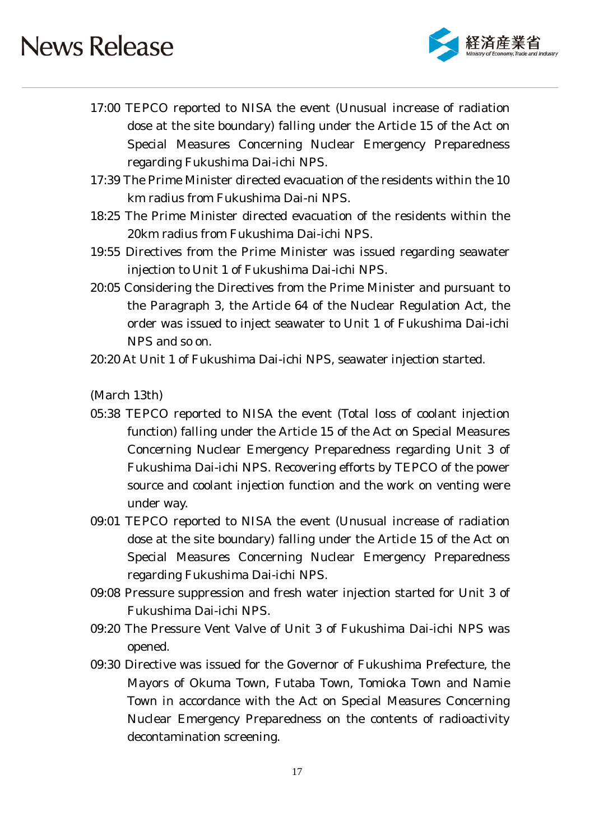

- 17:00 TEPCO reported to NISA the event (Unusual increase of radiation dose at the site boundary) falling under the Article 15 of the Act on Special Measures Concerning Nuclear Emergency Preparedness regarding Fukushima Dai-ichi NPS.
- 17:39 The Prime Minister directed evacuation of the residents within the 10 km radius from Fukushima Dai-ni NPS.
- 18:25 The Prime Minister directed evacuation of the residents within the 20km radius from Fukushima Dai-ichi NPS.
- 19:55 Directives from the Prime Minister was issued regarding seawater injection to Unit 1 of Fukushima Dai-ichi NPS.
- 20:05 Considering the Directives from the Prime Minister and pursuant to the Paragraph 3, the Article 64 of the Nuclear Regulation Act, the order was issued to inject seawater to Unit 1 of Fukushima Dai-ichi NPS and so on.
- 20:20 At Unit 1 of Fukushima Dai-ichi NPS, seawater injection started.

(March 13th)

- 05:38 TEPCO reported to NISA the event (Total loss of coolant injection function) falling under the Article 15 of the Act on Special Measures Concerning Nuclear Emergency Preparedness regarding Unit 3 of Fukushima Dai-ichi NPS. Recovering efforts by TEPCO of the power source and coolant injection function and the work on venting were under way.
- 09:01 TEPCO reported to NISA the event (Unusual increase of radiation dose at the site boundary) falling under the Article 15 of the Act on Special Measures Concerning Nuclear Emergency Preparedness regarding Fukushima Dai-ichi NPS.
- 09:08 Pressure suppression and fresh water injection started for Unit 3 of Fukushima Dai-ichi NPS.
- 09:20 The Pressure Vent Valve of Unit 3 of Fukushima Dai-ichi NPS was opened.
- 09:30 Directive was issued for the Governor of Fukushima Prefecture, the Mayors of Okuma Town, Futaba Town, Tomioka Town and Namie Town in accordance with the Act on Special Measures Concerning Nuclear Emergency Preparedness on the contents of radioactivity decontamination screening.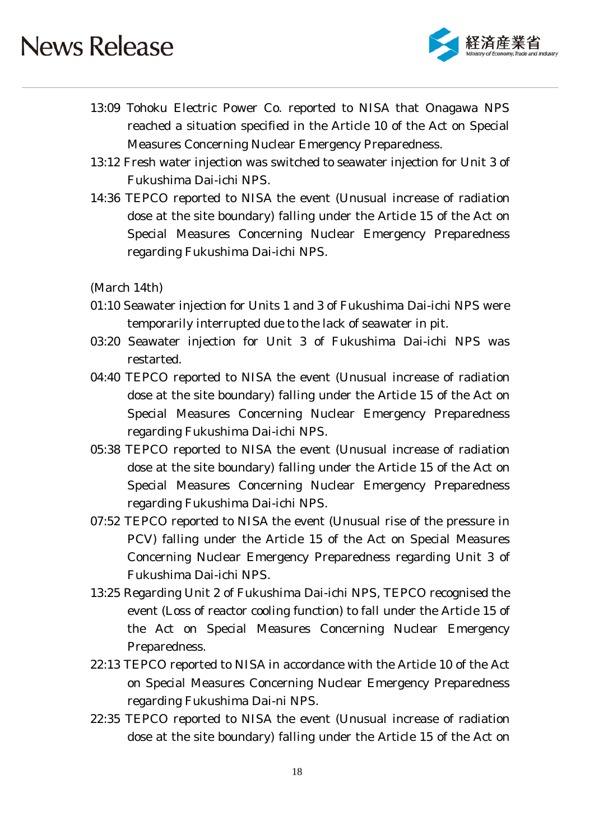

- 13:09 Tohoku Electric Power Co. reported to NISA that Onagawa NPS reached a situation specified in the Article 10 of the Act on Special Measures Concerning Nuclear Emergency Preparedness.
- 13:12 Fresh water injection was switched to seawater injection for Unit 3 of Fukushima Dai-ichi NPS.
- 14:36 TEPCO reported to NISA the event (Unusual increase of radiation dose at the site boundary) falling under the Article 15 of the Act on Special Measures Concerning Nuclear Emergency Preparedness regarding Fukushima Dai-ichi NPS.

(March 14th)

- 01:10 Seawater injection for Units 1 and 3 of Fukushima Dai-ichi NPS were temporarily interrupted due to the lack of seawater in pit.
- 03:20 Seawater injection for Unit 3 of Fukushima Dai-ichi NPS was restarted.
- 04:40 TEPCO reported to NISA the event (Unusual increase of radiation dose at the site boundary) falling under the Article 15 of the Act on Special Measures Concerning Nuclear Emergency Preparedness regarding Fukushima Dai-ichi NPS.
- 05:38 TEPCO reported to NISA the event (Unusual increase of radiation dose at the site boundary) falling under the Article 15 of the Act on Special Measures Concerning Nuclear Emergency Preparedness regarding Fukushima Dai-ichi NPS.
- 07:52 TEPCO reported to NISA the event (Unusual rise of the pressure in PCV) falling under the Article 15 of the Act on Special Measures Concerning Nuclear Emergency Preparedness regarding Unit 3 of Fukushima Dai-ichi NPS.
- 13:25 Regarding Unit 2 of Fukushima Dai-ichi NPS, TEPCO recognised the event (Loss of reactor cooling function) to fall under the Article 15 of the Act on Special Measures Concerning Nuclear Emergency Preparedness.
- 22:13 TEPCO reported to NISA in accordance with the Article 10 of the Act on Special Measures Concerning Nuclear Emergency Preparedness regarding Fukushima Dai-ni NPS.
- 22:35 TEPCO reported to NISA the event (Unusual increase of radiation dose at the site boundary) falling under the Article 15 of the Act on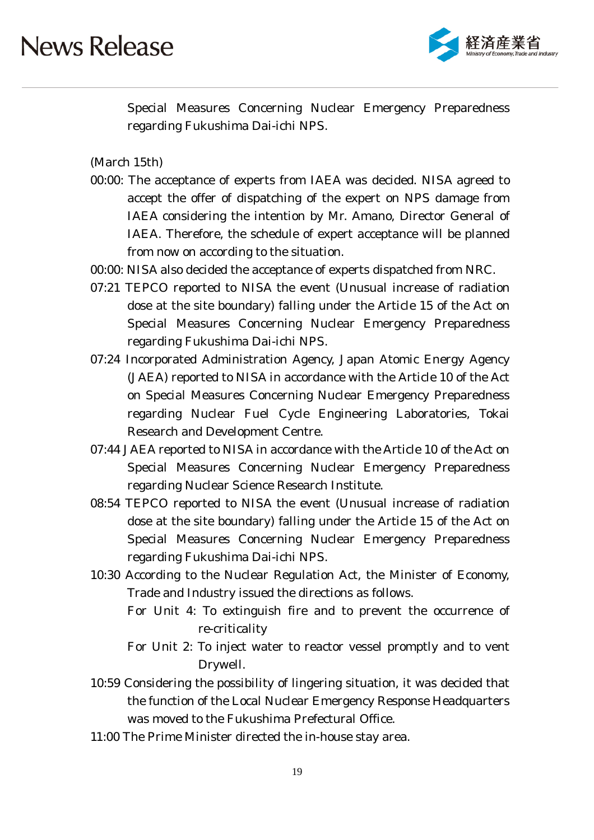

Special Measures Concerning Nuclear Emergency Preparedness regarding Fukushima Dai-ichi NPS.

(March 15th)

- 00:00: The acceptance of experts from IAEA was decided. NISA agreed to accept the offer of dispatching of the expert on NPS damage from IAEA considering the intention by Mr. Amano, Director General of IAEA. Therefore, the schedule of expert acceptance will be planned from now on according to the situation.
- 00:00: NISA also decided the acceptance of experts dispatched from NRC.
- 07:21 TEPCO reported to NISA the event (Unusual increase of radiation dose at the site boundary) falling under the Article 15 of the Act on Special Measures Concerning Nuclear Emergency Preparedness regarding Fukushima Dai-ichi NPS.
- 07:24 Incorporated Administration Agency, Japan Atomic Energy Agency (JAEA) reported to NISA in accordance with the Article 10 of the Act on Special Measures Concerning Nuclear Emergency Preparedness regarding Nuclear Fuel Cycle Engineering Laboratories, Tokai Research and Development Centre.
- 07:44 JAEA reported to NISA in accordance with the Article 10 of the Act on Special Measures Concerning Nuclear Emergency Preparedness regarding Nuclear Science Research Institute.
- 08:54 TEPCO reported to NISA the event (Unusual increase of radiation dose at the site boundary) falling under the Article 15 of the Act on Special Measures Concerning Nuclear Emergency Preparedness regarding Fukushima Dai-ichi NPS.
- 10:30 According to the Nuclear Regulation Act, the Minister of Economy, Trade and Industry issued the directions as follows.
	- For Unit 4: To extinguish fire and to prevent the occurrence of re-criticality
	- For Unit 2: To inject water to reactor vessel promptly and to vent Drywell.
- 10:59 Considering the possibility of lingering situation, it was decided that the function of the Local Nuclear Emergency Response Headquarters was moved to the Fukushima Prefectural Office.
- 11:00 The Prime Minister directed the in-house stay area.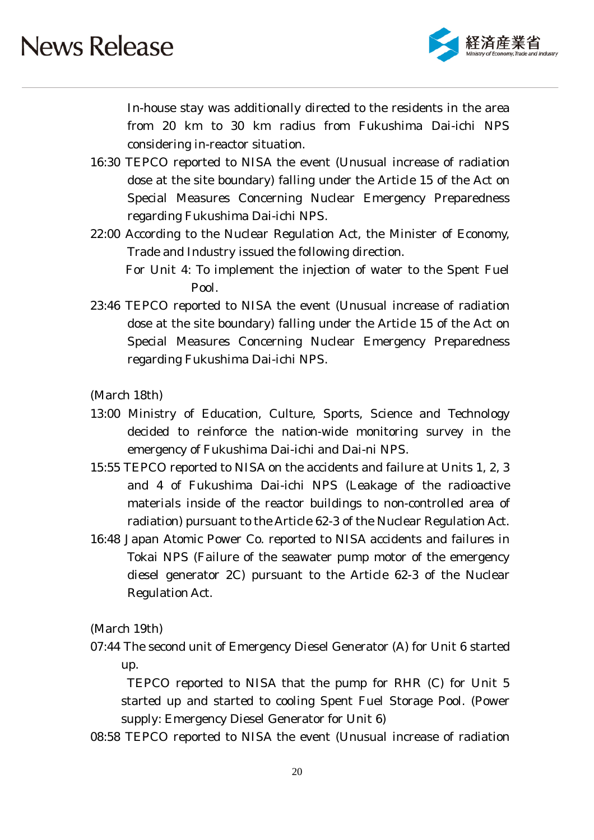

In-house stay was additionally directed to the residents in the area from 20 km to 30 km radius from Fukushima Dai-ichi NPS considering in-reactor situation.

- 16:30 TEPCO reported to NISA the event (Unusual increase of radiation dose at the site boundary) falling under the Article 15 of the Act on Special Measures Concerning Nuclear Emergency Preparedness regarding Fukushima Dai-ichi NPS.
- 22:00 According to the Nuclear Regulation Act, the Minister of Economy, Trade and Industry issued the following direction. For Unit 4: To implement the injection of water to the Spent Fuel

Pool.

23:46 TEPCO reported to NISA the event (Unusual increase of radiation dose at the site boundary) falling under the Article 15 of the Act on Special Measures Concerning Nuclear Emergency Preparedness regarding Fukushima Dai-ichi NPS.

(March 18th)

- 13:00 Ministry of Education, Culture, Sports, Science and Technology decided to reinforce the nation-wide monitoring survey in the emergency of Fukushima Dai-ichi and Dai-ni NPS.
- 15:55 TEPCO reported to NISA on the accidents and failure at Units 1, 2, 3 and 4 of Fukushima Dai-ichi NPS (Leakage of the radioactive materials inside of the reactor buildings to non-controlled area of radiation) pursuant to the Article 62-3 of the Nuclear Regulation Act.
- 16:48 Japan Atomic Power Co. reported to NISA accidents and failures in Tokai NPS (Failure of the seawater pump motor of the emergency diesel generator 2C) pursuant to the Article 62-3 of the Nuclear Regulation Act.

(March 19th)

07:44 The second unit of Emergency Diesel Generator (A) for Unit 6 started up.

TEPCO reported to NISA that the pump for RHR (C) for Unit 5 started up and started to cooling Spent Fuel Storage Pool. (Power supply: Emergency Diesel Generator for Unit 6)

08:58 TEPCO reported to NISA the event (Unusual increase of radiation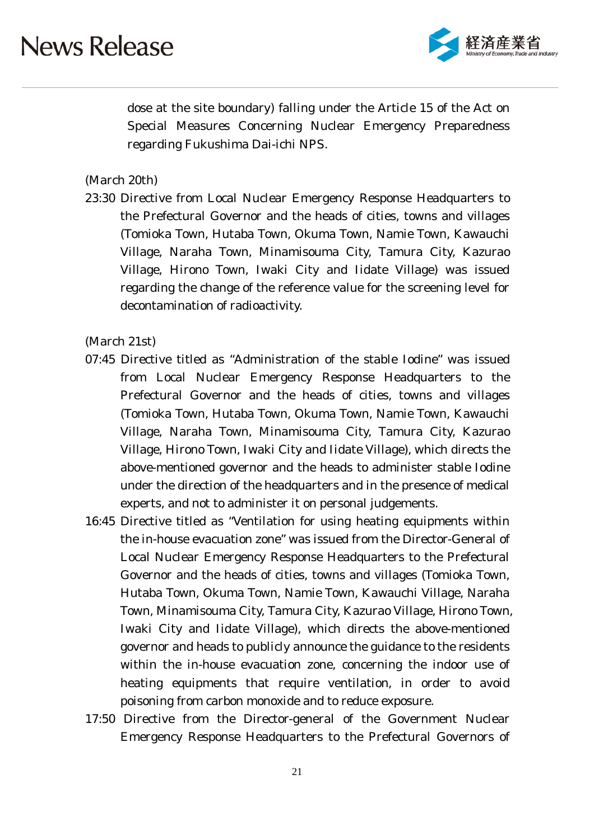

dose at the site boundary) falling under the Article 15 of the Act on Special Measures Concerning Nuclear Emergency Preparedness regarding Fukushima Dai-ichi NPS.

(March 20th)

23:30 Directive from Local Nuclear Emergency Response Headquarters to the Prefectural Governor and the heads of cities, towns and villages (Tomioka Town, Hutaba Town, Okuma Town, Namie Town, Kawauchi Village, Naraha Town, Minamisouma City, Tamura City, Kazurao Village, Hirono Town, Iwaki City and Iidate Village) was issued regarding the change of the reference value for the screening level for decontamination of radioactivity.

(March 21st)

- 07:45 Directive titled as "Administration of the stable Iodine" was issued from Local Nuclear Emergency Response Headquarters to the Prefectural Governor and the heads of cities, towns and villages (Tomioka Town, Hutaba Town, Okuma Town, Namie Town, Kawauchi Village, Naraha Town, Minamisouma City, Tamura City, Kazurao Village, Hirono Town, Iwaki City and Iidate Village), which directs the above-mentioned governor and the heads to administer stable Iodine under the direction of the headquarters and in the presence of medical experts, and not to administer it on personal judgements.
- 16:45 Directive titled as "Ventilation for using heating equipments within the in-house evacuation zone" was issued from the Director-General of Local Nuclear Emergency Response Headquarters to the Prefectural Governor and the heads of cities, towns and villages (Tomioka Town, Hutaba Town, Okuma Town, Namie Town, Kawauchi Village, Naraha Town, Minamisouma City, Tamura City, Kazurao Village, Hirono Town, Iwaki City and Iidate Village), which directs the above-mentioned governor and heads to publicly announce the guidance to the residents within the in-house evacuation zone, concerning the indoor use of heating equipments that require ventilation, in order to avoid poisoning from carbon monoxide and to reduce exposure.
- 17:50 Directive from the Director-general of the Government Nuclear Emergency Response Headquarters to the Prefectural Governors of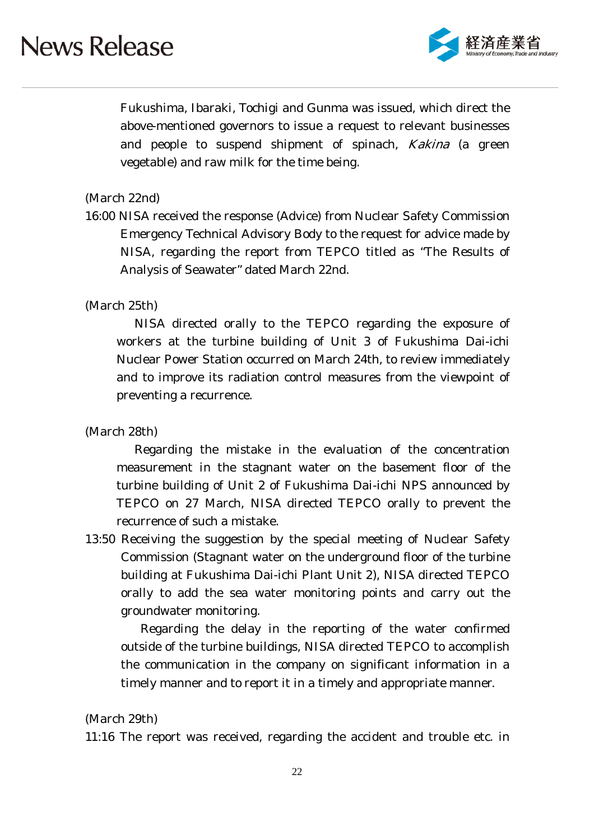

Fukushima, Ibaraki, Tochigi and Gunma was issued, which direct the above-mentioned governors to issue a request to relevant businesses and people to suspend shipment of spinach, *Kakina* (a green vegetable) and raw milk for the time being.

#### (March 22nd)

16:00 NISA received the response (Advice) from Nuclear Safety Commission Emergency Technical Advisory Body to the request for advice made by NISA, regarding the report from TEPCO titled as "The Results of Analysis of Seawater" dated March 22nd.

#### (March 25th)

NISA directed orally to the TEPCO regarding the exposure of workers at the turbine building of Unit 3 of Fukushima Dai-ichi Nuclear Power Station occurred on March 24th, to review immediately and to improve its radiation control measures from the viewpoint of preventing a recurrence.

### (March 28th)

Regarding the mistake in the evaluation of the concentration measurement in the stagnant water on the basement floor of the turbine building of Unit 2 of Fukushima Dai-ichi NPS announced by TEPCO on 27 March, NISA directed TEPCO orally to prevent the recurrence of such a mistake.

13:50 Receiving the suggestion by the special meeting of Nuclear Safety Commission (Stagnant water on the underground floor of the turbine building at Fukushima Dai-ichi Plant Unit 2), NISA directed TEPCO orally to add the sea water monitoring points and carry out the groundwater monitoring.

Regarding the delay in the reporting of the water confirmed outside of the turbine buildings, NISA directed TEPCO to accomplish the communication in the company on significant information in a timely manner and to report it in a timely and appropriate manner.

#### (March 29th)

11:16 The report was received, regarding the accident and trouble etc. in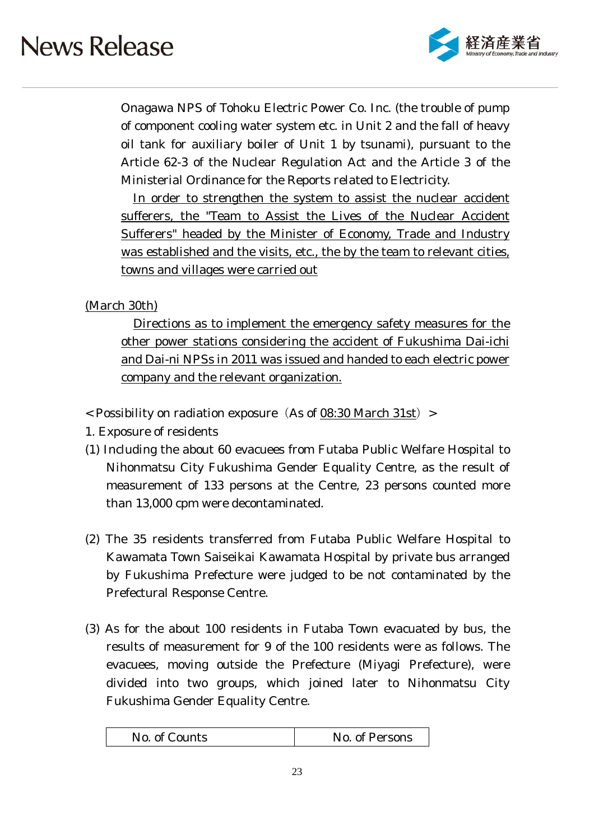

Onagawa NPS of Tohoku Electric Power Co. Inc. (the trouble of pump of component cooling water system etc. in Unit 2 and the fall of heavy oil tank for auxiliary boiler of Unit 1 by tsunami), pursuant to the Article 62-3 of the Nuclear Regulation Act and the Article 3 of the Ministerial Ordinance for the Reports related to Electricity.

In order to strengthen the system to assist the nuclear accident sufferers, the "Team to Assist the Lives of the Nuclear Accident Sufferers" headed by the Minister of Economy, Trade and Industry was established and the visits, etc., the by the team to relevant cities, towns and villages were carried out

### (March 30th)

Directions as to implement the emergency safety measures for the other power stations considering the accident of Fukushima Dai-ichi and Dai-ni NPSs in 2011 was issued and handed to each electric power company and the relevant organization.

- $<$  Possibility on radiation exposure (As of 08:30 March 31st) >
- 1. Exposure of residents
- (1) Including the about 60 evacuees from Futaba Public Welfare Hospital to Nihonmatsu City Fukushima Gender Equality Centre, as the result of measurement of 133 persons at the Centre, 23 persons counted more than 13,000 cpm were decontaminated.
- (2) The 35 residents transferred from Futaba Public Welfare Hospital to Kawamata Town Saiseikai Kawamata Hospital by private bus arranged by Fukushima Prefecture were judged to be not contaminated by the Prefectural Response Centre.
- (3) As for the about 100 residents in Futaba Town evacuated by bus, the results of measurement for 9 of the 100 residents were as follows. The evacuees, moving outside the Prefecture (Miyagi Prefecture), were divided into two groups, which joined later to Nihonmatsu City Fukushima Gender Equality Centre.

| No. of Counts | No. of Persons |
|---------------|----------------|
|---------------|----------------|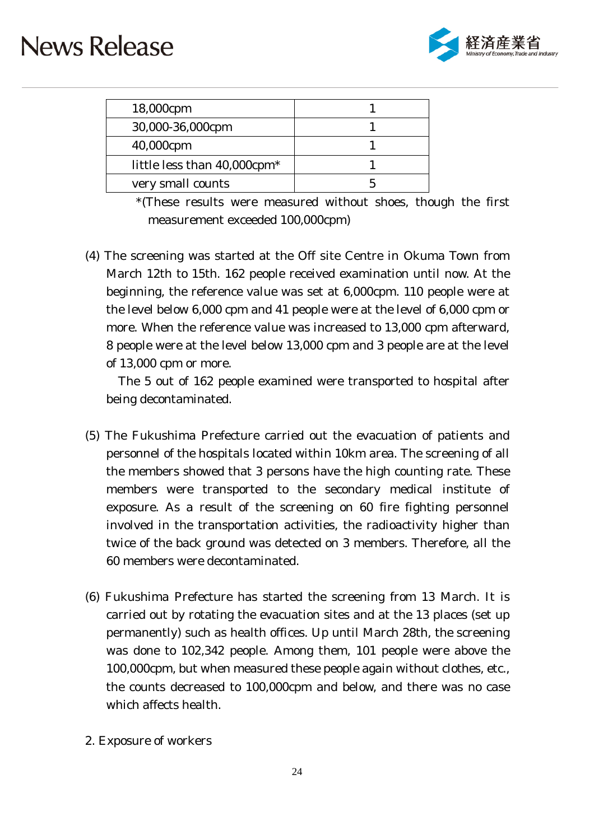

| 18,000cpm                               |  |
|-----------------------------------------|--|
| 30,000-36,000cpm                        |  |
| 40,000cpm                               |  |
| little less than 40,000cpm <sup>*</sup> |  |
| very small counts                       |  |

<sup>\*(</sup>These results were measured without shoes, though the first measurement exceeded 100,000cpm)

(4) The screening was started at the Off site Centre in Okuma Town from March 12th to 15th. 162 people received examination until now. At the beginning, the reference value was set at 6,000cpm. 110 people were at the level below 6,000 cpm and 41 people were at the level of 6,000 cpm or more. When the reference value was increased to 13,000 cpm afterward, 8 people were at the level below 13,000 cpm and 3 people are at the level of 13,000 cpm or more.

The 5 out of 162 people examined were transported to hospital after being decontaminated.

- (5) The Fukushima Prefecture carried out the evacuation of patients and personnel of the hospitals located within 10km area. The screening of all the members showed that 3 persons have the high counting rate. These members were transported to the secondary medical institute of exposure. As a result of the screening on 60 fire fighting personnel involved in the transportation activities, the radioactivity higher than twice of the back ground was detected on 3 members. Therefore, all the 60 members were decontaminated.
- (6) Fukushima Prefecture has started the screening from 13 March. It is carried out by rotating the evacuation sites and at the 13 places (set up permanently) such as health offices. Up until March 28th, the screening was done to 102,342 people. Among them, 101 people were above the 100,000cpm, but when measured these people again without clothes, etc., the counts decreased to 100,000cpm and below, and there was no case which affects health.
- 2. Exposure of workers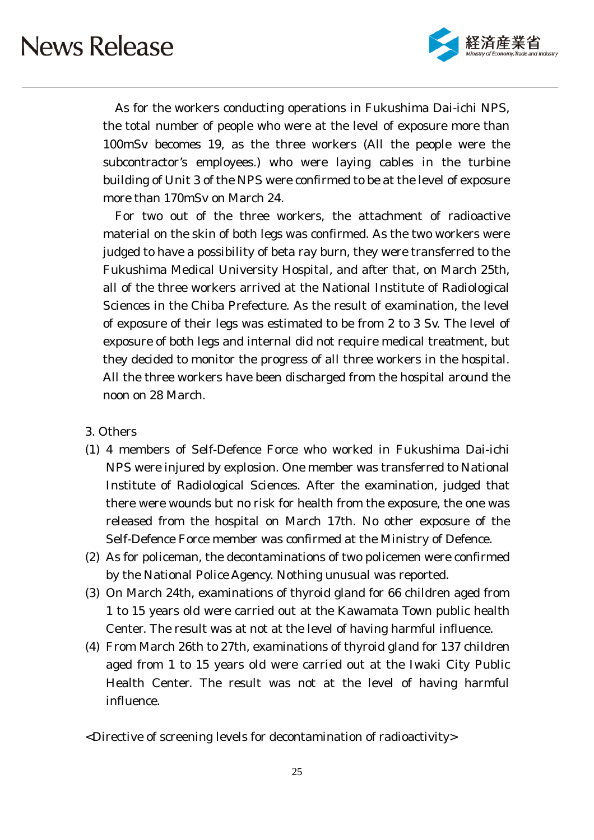

As for the workers conducting operations in Fukushima Dai-ichi NPS, the total number of people who were at the level of exposure more than 100mSv becomes 19, as the three workers (All the people were the subcontractor's employees.) who were laying cables in the turbine building of Unit 3 of the NPS were confirmed to be at the level of exposure more than 170mSv on March 24.

For two out of the three workers, the attachment of radioactive material on the skin of both legs was confirmed. As the two workers were judged to have a possibility of beta ray burn, they were transferred to the Fukushima Medical University Hospital, and after that, on March 25th, all of the three workers arrived at the National Institute of Radiological Sciences in the Chiba Prefecture. As the result of examination, the level of exposure of their legs was estimated to be from 2 to 3 Sv. The level of exposure of both legs and internal did not require medical treatment, but they decided to monitor the progress of all three workers in the hospital. All the three workers have been discharged from the hospital around the noon on 28 March.

- 3. Others
- (1) 4 members of Self-Defence Force who worked in Fukushima Dai-ichi NPS were injured by explosion. One member was transferred to National Institute of Radiological Sciences. After the examination, judged that there were wounds but no risk for health from the exposure, the one was released from the hospital on March 17th. No other exposure of the Self-Defence Force member was confirmed at the Ministry of Defence.
- (2) As for policeman, the decontaminations of two policemen were confirmed by the National Police Agency. Nothing unusual was reported.
- (3) On March 24th, examinations of thyroid gland for 66 children aged from 1 to 15 years old were carried out at the Kawamata Town public health Center. The result was at not at the level of having harmful influence.
- (4) From March 26th to 27th, examinations of thyroid gland for 137 children aged from 1 to 15 years old were carried out at the Iwaki City Public Health Center. The result was not at the level of having harmful influence.
- <Directive of screening levels for decontamination of radioactivity>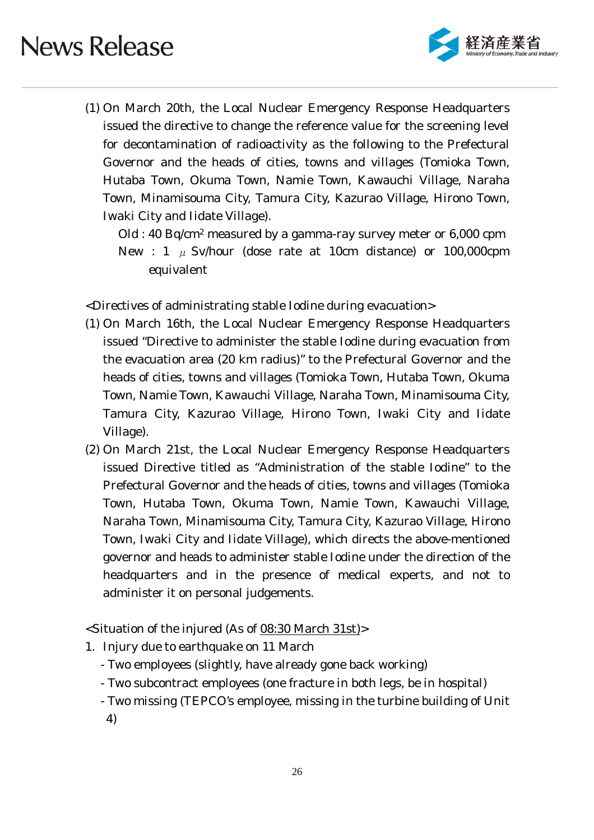

(1) On March 20th, the Local Nuclear Emergency Response Headquarters issued the directive to change the reference value for the screening level for decontamination of radioactivity as the following to the Prefectural Governor and the heads of cities, towns and villages (Tomioka Town, Hutaba Town, Okuma Town, Namie Town, Kawauchi Village, Naraha Town, Minamisouma City, Tamura City, Kazurao Village, Hirono Town, Iwaki City and Iidate Village).

Old : 40 Bq/cm2 measured by a gamma-ray survey meter or 6,000 cpm New : 1  $\mu$  Sv/hour (dose rate at 10cm distance) or 100,000cpm equivalent

<Directives of administrating stable Iodine during evacuation>

- (1) On March 16th, the Local Nuclear Emergency Response Headquarters issued "Directive to administer the stable Iodine during evacuation from the evacuation area (20 km radius)" to the Prefectural Governor and the heads of cities, towns and villages (Tomioka Town, Hutaba Town, Okuma Town, Namie Town, Kawauchi Village, Naraha Town, Minamisouma City, Tamura City, Kazurao Village, Hirono Town, Iwaki City and Iidate Village).
- (2) On March 21st, the Local Nuclear Emergency Response Headquarters issued Directive titled as "Administration of the stable Iodine" to the Prefectural Governor and the heads of cities, towns and villages (Tomioka Town, Hutaba Town, Okuma Town, Namie Town, Kawauchi Village, Naraha Town, Minamisouma City, Tamura City, Kazurao Village, Hirono Town, Iwaki City and Iidate Village), which directs the above-mentioned governor and heads to administer stable Iodine under the direction of the headquarters and in the presence of medical experts, and not to administer it on personal judgements.

<Situation of the injured (As of 08:30 March 31st)>

- 1. Injury due to earthquake on 11 March
	- Two employees (slightly, have already gone back working)
	- Two subcontract employees (one fracture in both legs, be in hospital)
	- Two missing (TEPCO's employee, missing in the turbine building of Unit
	- 4)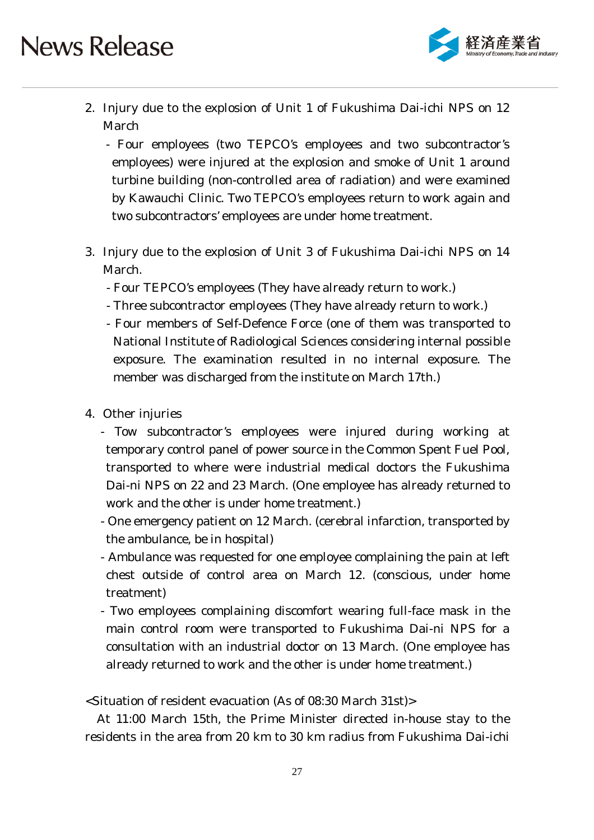

2. Injury due to the explosion of Unit 1 of Fukushima Dai-ichi NPS on 12 March

- Four employees (two TEPCO's employees and two subcontractor's employees) were injured at the explosion and smoke of Unit 1 around turbine building (non-controlled area of radiation) and were examined by Kawauchi Clinic. Two TEPCO's employees return to work again and two subcontractors' employees are under home treatment.

- 3. Injury due to the explosion of Unit 3 of Fukushima Dai-ichi NPS on 14 March.
	- Four TEPCO's employees (They have already return to work.)
	- Three subcontractor employees (They have already return to work.)
	- Four members of Self-Defence Force (one of them was transported to National Institute of Radiological Sciences considering internal possible exposure. The examination resulted in no internal exposure. The member was discharged from the institute on March 17th.)
- 4. Other injuries
	- Tow subcontractor's employees were injured during working at temporary control panel of power source in the Common Spent Fuel Pool, transported to where were industrial medical doctors the Fukushima Dai-ni NPS on 22 and 23 March. (One employee has already returned to work and the other is under home treatment.)
	- One emergency patient on 12 March. (cerebral infarction, transported by the ambulance, be in hospital)
	- Ambulance was requested for one employee complaining the pain at left chest outside of control area on March 12. (conscious, under home treatment)
	- Two employees complaining discomfort wearing full-face mask in the main control room were transported to Fukushima Dai-ni NPS for a consultation with an industrial doctor on 13 March. (One employee has already returned to work and the other is under home treatment.)

<Situation of resident evacuation (As of 08:30 March 31st)>

At 11:00 March 15th, the Prime Minister directed in-house stay to the residents in the area from 20 km to 30 km radius from Fukushima Dai-ichi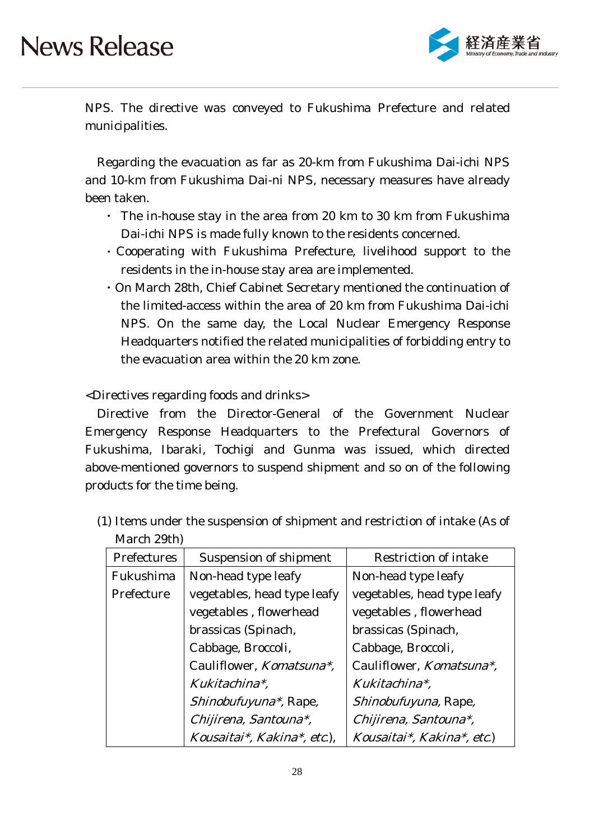

NPS. The directive was conveyed to Fukushima Prefecture and related municipalities.

Regarding the evacuation as far as 20-km from Fukushima Dai-ichi NPS and 10-km from Fukushima Dai-ni NPS, necessary measures have already been taken.

- ・ The in-house stay in the area from 20 km to 30 km from Fukushima Dai-ichi NPS is made fully known to the residents concerned.
- ・Cooperating with Fukushima Prefecture, livelihood support to the residents in the in-house stay area are implemented.
- ・On March 28th, Chief Cabinet Secretary mentioned the continuation of the limited-access within the area of 20 km from Fukushima Dai-ichi NPS. On the same day, the Local Nuclear Emergency Response Headquarters notified the related municipalities of forbidding entry to the evacuation area within the 20 km zone.

<Directives regarding foods and drinks>

Directive from the Director-General of the Government Nuclear Emergency Response Headquarters to the Prefectural Governors of Fukushima, Ibaraki, Tochigi and Gunma was issued, which directed above-mentioned governors to suspend shipment and so on of the following products for the time being.

| 1124221280211 |                                  |                             |
|---------------|----------------------------------|-----------------------------|
| Prefectures   | Suspension of shipment           | Restriction of intake       |
| Fukushima     | Non-head type leafy              | Non-head type leafy         |
| Prefecture    | vegetables, head type leafy      | vegetables, head type leafy |
|               | vegetables, flowerhead           | vegetables, flowerhead      |
|               | brassicas (Spinach,              | brassicas (Spinach,         |
|               | Cabbage, Broccoli,               | Cabbage, Broccoli,          |
|               | Cauliflower, <i>Komatsuna*</i> , | Cauliflower, Komatsuna*,    |
|               | Kukitachina*,                    | Kukitachina*.               |
|               | <i>Shinobufuyuna*</i> , Rape,    | Shinobufuyuna, Rape,        |
|               | Chijirena, Santouna*,            | Chijirena, Santouna*,       |
|               | Kousaitai*, Kakina*, etc.),      | Kousaitai*, Kakina*, etc.)  |

(1) Items under the suspension of shipment and restriction of intake (As of March 29th)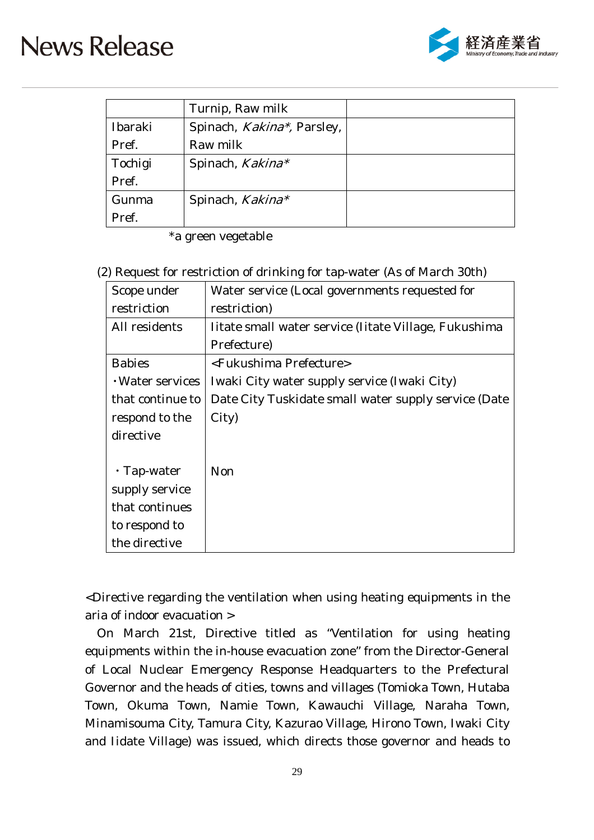

|         | Turnip, Raw milk                   |  |
|---------|------------------------------------|--|
| Ibaraki | Spinach, <i>Kakina*</i> , Parsley, |  |
| Pref.   | Raw milk                           |  |
| Tochigi | Spinach, Kakina*                   |  |
| Pref.   |                                    |  |
| Gunma   | Spinach, Kakina*                   |  |
| Pref.   |                                    |  |

\*a green vegetable

#### (2) Request for restriction of drinking for tap-water (As of March 30th)

| Scope under            | Water service (Local governments requested for        |
|------------------------|-------------------------------------------------------|
| restriction            | restriction)                                          |
| All residents          | Iitate small water service (Iitate Village, Fukushima |
|                        | Prefecture)                                           |
| <b>Babies</b>          | <fukushima prefecture=""></fukushima>                 |
| $\cdot$ Water services | Iwaki City water supply service (Iwaki City)          |
| that continue to       | Date City Tuskidate small water supply service (Date  |
| respond to the         | City)                                                 |
| directive              |                                                       |
|                        |                                                       |
| $\cdot$ Tap-water      | <b>Non</b>                                            |
| supply service         |                                                       |
| that continues         |                                                       |
| to respond to          |                                                       |
| the directive          |                                                       |

<Directive regarding the ventilation when using heating equipments in the aria of indoor evacuation >

On March 21st, Directive titled as "Ventilation for using heating equipments within the in-house evacuation zone" from the Director-General of Local Nuclear Emergency Response Headquarters to the Prefectural Governor and the heads of cities, towns and villages (Tomioka Town, Hutaba Town, Okuma Town, Namie Town, Kawauchi Village, Naraha Town, Minamisouma City, Tamura City, Kazurao Village, Hirono Town, Iwaki City and Iidate Village) was issued, which directs those governor and heads to